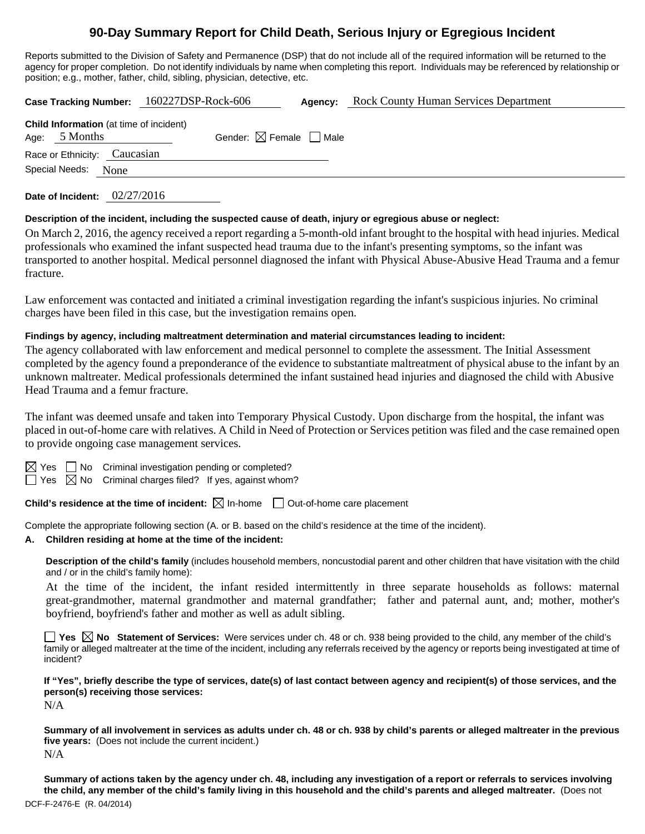# **90-Day Summary Report for Child Death, Serious Injury or Egregious Incident**

Reports submitted to the Division of Safety and Permanence (DSP) that do not include all of the required information will be returned to the agency for proper completion. Do not identify individuals by name when completing this report. Individuals may be referenced by relationship or position; e.g., mother, father, child, sibling, physician, detective, etc.

|                                                                 | Case Tracking Number: 160227DSP-Rock-606 | Agency: | <b>Rock County Human Services Department</b> |  |
|-----------------------------------------------------------------|------------------------------------------|---------|----------------------------------------------|--|
| <b>Child Information</b> (at time of incident)<br>Age: 5 Months | Gender: $\boxtimes$ Female $\Box$ Male   |         |                                              |  |
| Race or Ethnicity: Caucasian                                    |                                          |         |                                              |  |
| Special Needs:<br>None                                          |                                          |         |                                              |  |
| 02/27/2016<br>Date of Incident:                                 |                                          |         |                                              |  |

#### **Description of the incident, including the suspected cause of death, injury or egregious abuse or neglect:**

On March 2, 2016, the agency received a report regarding a 5-month-old infant brought to the hospital with head injuries. Medical professionals who examined the infant suspected head trauma due to the infant's presenting symptoms, so the infant was transported to another hospital. Medical personnel diagnosed the infant with Physical Abuse-Abusive Head Trauma and a femur fracture.

Law enforcement was contacted and initiated a criminal investigation regarding the infant's suspicious injuries. No criminal charges have been filed in this case, but the investigation remains open.

### **Findings by agency, including maltreatment determination and material circumstances leading to incident:**

The agency collaborated with law enforcement and medical personnel to complete the assessment. The Initial Assessment completed by the agency found a preponderance of the evidence to substantiate maltreatment of physical abuse to the infant by an unknown maltreater. Medical professionals determined the infant sustained head injuries and diagnosed the child with Abusive Head Trauma and a femur fracture.

The infant was deemed unsafe and taken into Temporary Physical Custody. Upon discharge from the hospital, the infant was placed in out-of-home care with relatives. A Child in Need of Protection or Services petition was filed and the case remained open to provide ongoing case management services.

 $\Box$  No Criminal investigation pending or completed?

 $\Box$  Yes  $\boxtimes$  No Criminal charges filed? If yes, against whom?

**Child's residence at the time of incident:**  $\boxtimes$  In-home  $\Box$  Out-of-home care placement

Complete the appropriate following section (A. or B. based on the child's residence at the time of the incident).

### **A. Children residing at home at the time of the incident:**

**Description of the child's family** (includes household members, noncustodial parent and other children that have visitation with the child and / or in the child's family home):

 At the time of the incident, the infant resided intermittently in three separate households as follows: maternal great-grandmother, maternal grandmother and maternal grandfather; father and paternal aunt, and; mother, mother's boyfriend, boyfriend's father and mother as well as adult sibling.

**Yes No Statement of Services:** Were services under ch. 48 or ch. 938 being provided to the child, any member of the child's family or alleged maltreater at the time of the incident, including any referrals received by the agency or reports being investigated at time of incident?

**If "Yes", briefly describe the type of services, date(s) of last contact between agency and recipient(s) of those services, and the person(s) receiving those services:**  N/A

**Summary of all involvement in services as adults under ch. 48 or ch. 938 by child's parents or alleged maltreater in the previous five years:** (Does not include the current incident.) N/A

DCF-F-2476-E (R. 04/2014) **Summary of actions taken by the agency under ch. 48, including any investigation of a report or referrals to services involving the child, any member of the child's family living in this household and the child's parents and alleged maltreater.** (Does not